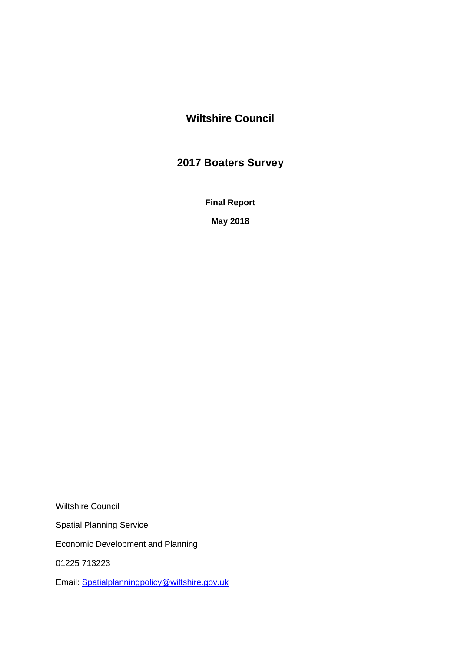# **Wiltshire Council**

# **2017 Boaters Survey**

**Final Report**

**May 2018**

Wiltshire Council Spatial Planning Service Economic Development and Planning 01225 713223 Email: [Spatialplanningpolicy@wiltshire.gov.uk](mailto:Spatialplanningpolicy@wiltshire.gov.uk)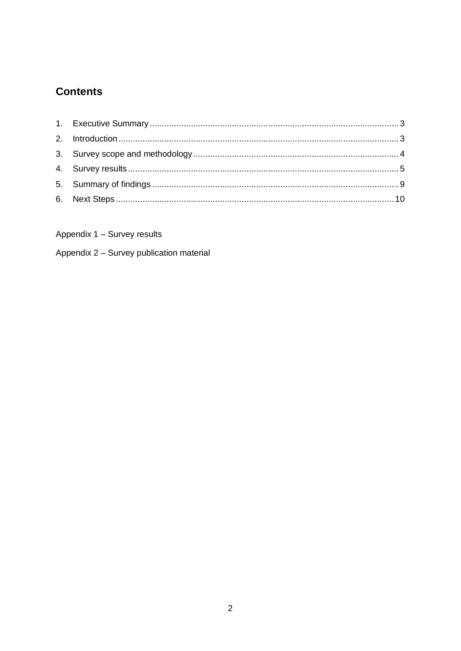# **Contents**

Appendix 1 - Survey results

Appendix 2 - Survey publication material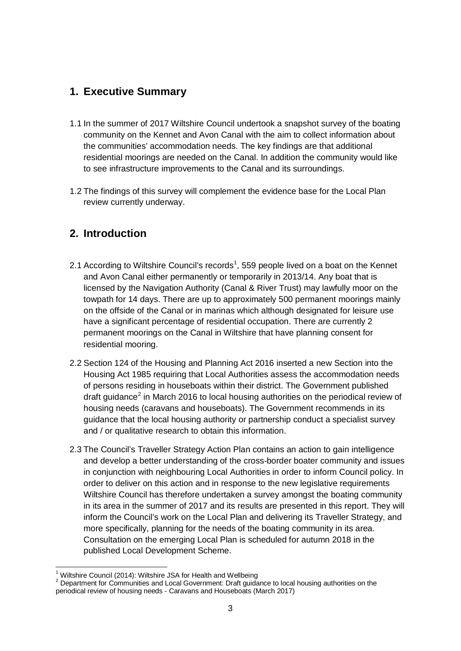# <span id="page-2-0"></span>**1. Executive Summary**

- 1.1 In the summer of 2017 Wiltshire Council undertook a snapshot survey of the boating community on the Kennet and Avon Canal with the aim to collect information about the communities' accommodation needs. The key findings are that additional residential moorings are needed on the Canal. In addition the community would like to see infrastructure improvements to the Canal and its surroundings.
- 1.2 The findings of this survey will complement the evidence base for the Local Plan review currently underway.

# <span id="page-2-1"></span>**2. Introduction**

- 2.[1](#page-2-2) According to Wiltshire Council's records<sup>1</sup>, 559 people lived on a boat on the Kennet and Avon Canal either permanently or temporarily in 2013/14. Any boat that is licensed by the Navigation Authority (Canal & River Trust) may lawfully moor on the towpath for 14 days. There are up to approximately 500 permanent moorings mainly on the offside of the Canal or in marinas which although designated for leisure use have a significant percentage of residential occupation. There are currently 2 permanent moorings on the Canal in Wiltshire that have planning consent for residential mooring.
- 2.2 Section 124 of the Housing and Planning Act 2016 inserted a new Section into the Housing Act 1985 requiring that Local Authorities assess the accommodation needs of persons residing in houseboats within their district. The Government published draft guidance<sup>[2](#page-2-3)</sup> in March 2016 to local housing authorities on the periodical review of housing needs (caravans and houseboats). The Government recommends in its guidance that the local housing authority or partnership conduct a specialist survey and / or qualitative research to obtain this information.
- 2.3 The Council's Traveller Strategy Action Plan contains an action to gain intelligence and develop a better understanding of the cross-border boater community and issues in conjunction with neighbouring Local Authorities in order to inform Council policy. In order to deliver on this action and in response to the new legislative requirements Wiltshire Council has therefore undertaken a survey amongst the boating community in its area in the summer of 2017 and its results are presented in this report. They will inform the Council's work on the Local Plan and delivering its Traveller Strategy, and more specifically, planning for the needs of the boating community in its area. Consultation on the emerging Local Plan is scheduled for autumn 2018 in the published Local Development Scheme.

<span id="page-2-3"></span><span id="page-2-2"></span><sup>&</sup>lt;sup>1</sup> Wiltshire Council (2014): Wiltshire JSA for Health and Wellbeing<br><sup>2</sup> Department for Communities and Local Government: Draft guidance to local housing authorities on the periodical review of housing needs - Caravans and Houseboats (March 2017)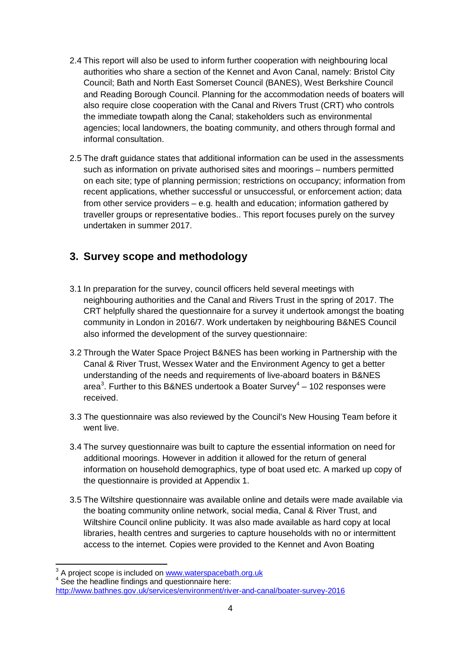- 2.4 This report will also be used to inform further cooperation with neighbouring local authorities who share a section of the Kennet and Avon Canal, namely: Bristol City Council; Bath and North East Somerset Council (BANES), West Berkshire Council and Reading Borough Council. Planning for the accommodation needs of boaters will also require close cooperation with the Canal and Rivers Trust (CRT) who controls the immediate towpath along the Canal; stakeholders such as environmental agencies; local landowners, the boating community, and others through formal and informal consultation.
- 2.5 The draft guidance states that additional information can be used in the assessments such as information on private authorised sites and moorings – numbers permitted on each site; type of planning permission; restrictions on occupancy; information from recent applications, whether successful or unsuccessful, or enforcement action; data from other service providers – e.g. health and education; information gathered by traveller groups or representative bodies.. This report focuses purely on the survey undertaken in summer 2017.

# <span id="page-3-0"></span>**3. Survey scope and methodology**

- 3.1 In preparation for the survey, council officers held several meetings with neighbouring authorities and the Canal and Rivers Trust in the spring of 2017. The CRT helpfully shared the questionnaire for a survey it undertook amongst the boating community in London in 2016/7. Work undertaken by neighbouring B&NES Council also informed the development of the survey questionnaire:
- 3.2 Through the Water Space Project B&NES has been working in Partnership with the Canal & River Trust, Wessex Water and the Environment Agency to get a better understanding of the needs and requirements of live-aboard boaters in B&NES area<sup>[3](#page-3-1)</sup>. Further to this B&NES undertook a Boater Survey<sup>[4](#page-3-2)</sup> – 102 responses were received.
- 3.3 The questionnaire was also reviewed by the Council's New Housing Team before it went live.
- 3.4 The survey questionnaire was built to capture the essential information on need for additional moorings. However in addition it allowed for the return of general information on household demographics, type of boat used etc. A marked up copy of the questionnaire is provided at Appendix 1.
- 3.5 The Wiltshire questionnaire was available online and details were made available via the boating community online network, social media, Canal & River Trust, and Wiltshire Council online publicity. It was also made available as hard copy at local libraries, health centres and surgeries to capture households with no or intermittent access to the internet. Copies were provided to the Kennet and Avon Boating

<span id="page-3-1"></span> $3$  A project scope is included on  $\frac{www.waterspacebath.org.uk}{\text{See the headline findings and questionnaire here:}}$ 

<span id="page-3-2"></span><http://www.bathnes.gov.uk/services/environment/river-and-canal/boater-survey-2016>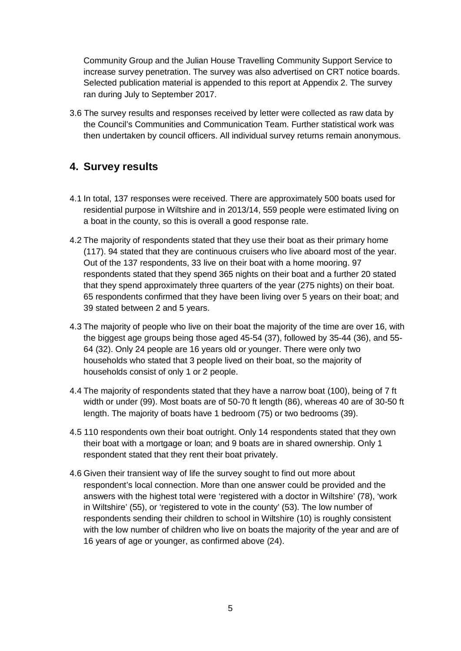Community Group and the Julian House Travelling Community Support Service to increase survey penetration. The survey was also advertised on CRT notice boards. Selected publication material is appended to this report at Appendix 2. The survey ran during July to September 2017.

3.6 The survey results and responses received by letter were collected as raw data by the Council's Communities and Communication Team. Further statistical work was then undertaken by council officers. All individual survey returns remain anonymous.

# <span id="page-4-0"></span>**4. Survey results**

- 4.1 In total, 137 responses were received. There are approximately 500 boats used for residential purpose in Wiltshire and in 2013/14, 559 people were estimated living on a boat in the county, so this is overall a good response rate.
- 4.2 The majority of respondents stated that they use their boat as their primary home (117). 94 stated that they are continuous cruisers who live aboard most of the year. Out of the 137 respondents, 33 live on their boat with a home mooring. 97 respondents stated that they spend 365 nights on their boat and a further 20 stated that they spend approximately three quarters of the year (275 nights) on their boat. 65 respondents confirmed that they have been living over 5 years on their boat; and 39 stated between 2 and 5 years.
- 4.3 The majority of people who live on their boat the majority of the time are over 16, with the biggest age groups being those aged 45-54 (37), followed by 35-44 (36), and 55- 64 (32). Only 24 people are 16 years old or younger. There were only two households who stated that 3 people lived on their boat, so the majority of households consist of only 1 or 2 people.
- 4.4 The majority of respondents stated that they have a narrow boat (100), being of 7 ft width or under (99). Most boats are of 50-70 ft length (86), whereas 40 are of 30-50 ft length. The majority of boats have 1 bedroom (75) or two bedrooms (39).
- 4.5 110 respondents own their boat outright. Only 14 respondents stated that they own their boat with a mortgage or loan; and 9 boats are in shared ownership. Only 1 respondent stated that they rent their boat privately.
- 4.6 Given their transient way of life the survey sought to find out more about respondent's local connection. More than one answer could be provided and the answers with the highest total were 'registered with a doctor in Wiltshire' (78), 'work in Wiltshire' (55), or 'registered to vote in the county' (53). The low number of respondents sending their children to school in Wiltshire (10) is roughly consistent with the low number of children who live on boats the majority of the year and are of 16 years of age or younger, as confirmed above (24).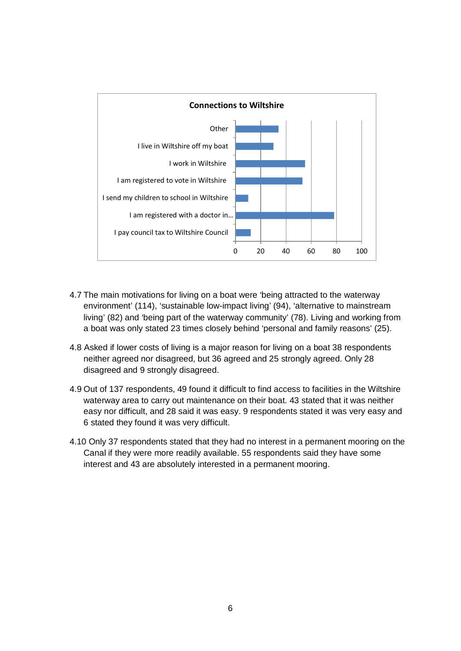

- 4.7 The main motivations for living on a boat were 'being attracted to the waterway environment' (114), 'sustainable low-impact living' (94), 'alternative to mainstream living' (82) and 'being part of the waterway community' (78). Living and working from a boat was only stated 23 times closely behind 'personal and family reasons' (25).
- 4.8 Asked if lower costs of living is a major reason for living on a boat 38 respondents neither agreed nor disagreed, but 36 agreed and 25 strongly agreed. Only 28 disagreed and 9 strongly disagreed.
- 4.9 Out of 137 respondents, 49 found it difficult to find access to facilities in the Wiltshire waterway area to carry out maintenance on their boat. 43 stated that it was neither easy nor difficult, and 28 said it was easy. 9 respondents stated it was very easy and 6 stated they found it was very difficult.
- 4.10 Only 37 respondents stated that they had no interest in a permanent mooring on the Canal if they were more readily available. 55 respondents said they have some interest and 43 are absolutely interested in a permanent mooring.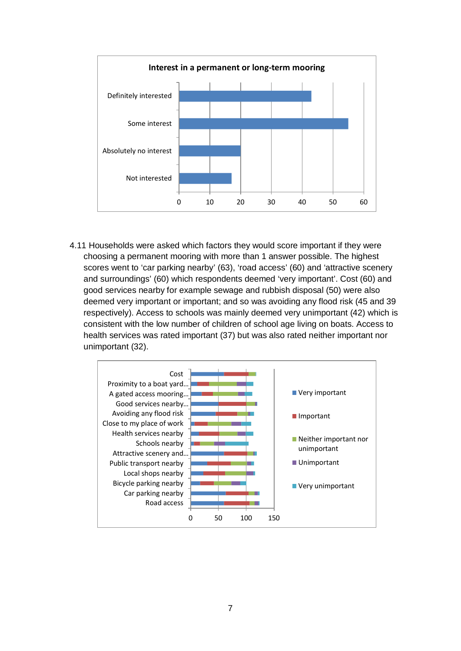

4.11 Households were asked which factors they would score important if they were choosing a permanent mooring with more than 1 answer possible. The highest scores went to 'car parking nearby' (63), 'road access' (60) and 'attractive scenery and surroundings' (60) which respondents deemed 'very important'. Cost (60) and good services nearby for example sewage and rubbish disposal (50) were also deemed very important or important; and so was avoiding any flood risk (45 and 39 respectively). Access to schools was mainly deemed very unimportant (42) which is consistent with the low number of children of school age living on boats. Access to health services was rated important (37) but was also rated neither important nor unimportant (32).

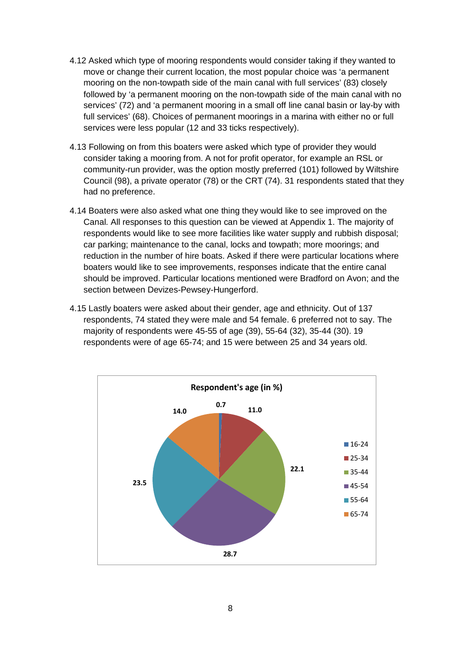- 4.12 Asked which type of mooring respondents would consider taking if they wanted to move or change their current location, the most popular choice was 'a permanent mooring on the non-towpath side of the main canal with full services' (83) closely followed by 'a permanent mooring on the non-towpath side of the main canal with no services' (72) and 'a permanent mooring in a small off line canal basin or lay-by with full services' (68). Choices of permanent moorings in a marina with either no or full services were less popular (12 and 33 ticks respectively).
- 4.13 Following on from this boaters were asked which type of provider they would consider taking a mooring from. A not for profit operator, for example an RSL or community-run provider, was the option mostly preferred (101) followed by Wiltshire Council (98), a private operator (78) or the CRT (74). 31 respondents stated that they had no preference.
- 4.14 Boaters were also asked what one thing they would like to see improved on the Canal. All responses to this question can be viewed at Appendix 1. The majority of respondents would like to see more facilities like water supply and rubbish disposal; car parking; maintenance to the canal, locks and towpath; more moorings; and reduction in the number of hire boats. Asked if there were particular locations where boaters would like to see improvements, responses indicate that the entire canal should be improved. Particular locations mentioned were Bradford on Avon; and the section between Devizes-Pewsey-Hungerford.
- 4.15 Lastly boaters were asked about their gender, age and ethnicity. Out of 137 respondents, 74 stated they were male and 54 female. 6 preferred not to say. The majority of respondents were 45-55 of age (39), 55-64 (32), 35-44 (30). 19 respondents were of age 65-74; and 15 were between 25 and 34 years old.

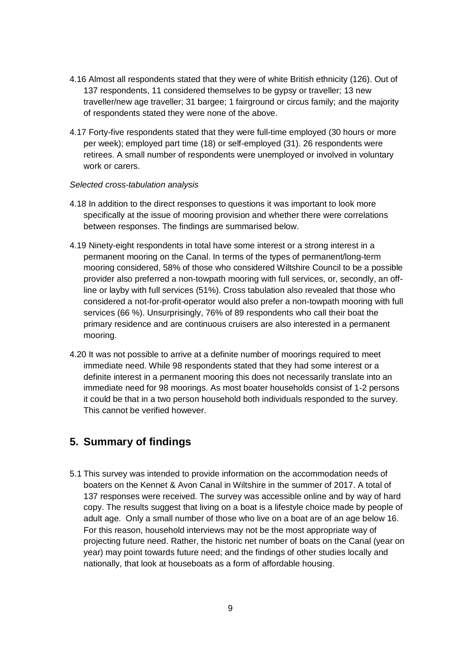- 4.16 Almost all respondents stated that they were of white British ethnicity (126). Out of 137 respondents, 11 considered themselves to be gypsy or traveller; 13 new traveller/new age traveller; 31 bargee; 1 fairground or circus family; and the majority of respondents stated they were none of the above.
- 4.17 Forty-five respondents stated that they were full-time employed (30 hours or more per week); employed part time (18) or self-employed (31). 26 respondents were retirees. A small number of respondents were unemployed or involved in voluntary work or carers.

#### *Selected cross-tabulation analysis*

- 4.18 In addition to the direct responses to questions it was important to look more specifically at the issue of mooring provision and whether there were correlations between responses. The findings are summarised below.
- 4.19 Ninety-eight respondents in total have some interest or a strong interest in a permanent mooring on the Canal. In terms of the types of permanent/long-term mooring considered, 58% of those who considered Wiltshire Council to be a possible provider also preferred a non-towpath mooring with full services, or, secondly, an offline or layby with full services (51%). Cross tabulation also revealed that those who considered a not-for-profit-operator would also prefer a non-towpath mooring with full services (66 %). Unsurprisingly, 76% of 89 respondents who call their boat the primary residence and are continuous cruisers are also interested in a permanent mooring.
- 4.20 It was not possible to arrive at a definite number of moorings required to meet immediate need. While 98 respondents stated that they had some interest or a definite interest in a permanent mooring this does not necessarily translate into an immediate need for 98 moorings. As most boater households consist of 1-2 persons it could be that in a two person household both individuals responded to the survey. This cannot be verified however.

# <span id="page-8-0"></span>**5. Summary of findings**

5.1 This survey was intended to provide information on the accommodation needs of boaters on the Kennet & Avon Canal in Wiltshire in the summer of 2017. A total of 137 responses were received. The survey was accessible online and by way of hard copy. The results suggest that living on a boat is a lifestyle choice made by people of adult age. Only a small number of those who live on a boat are of an age below 16. For this reason, household interviews may not be the most appropriate way of projecting future need. Rather, the historic net number of boats on the Canal (year on year) may point towards future need; and the findings of other studies locally and nationally, that look at houseboats as a form of affordable housing.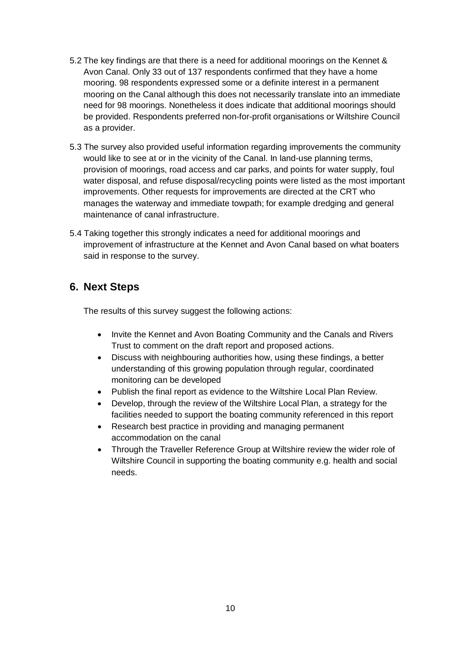- 5.2 The key findings are that there is a need for additional moorings on the Kennet & Avon Canal. Only 33 out of 137 respondents confirmed that they have a home mooring. 98 respondents expressed some or a definite interest in a permanent mooring on the Canal although this does not necessarily translate into an immediate need for 98 moorings. Nonetheless it does indicate that additional moorings should be provided. Respondents preferred non-for-profit organisations or Wiltshire Council as a provider.
- 5.3 The survey also provided useful information regarding improvements the community would like to see at or in the vicinity of the Canal. In land-use planning terms, provision of moorings, road access and car parks, and points for water supply, foul water disposal, and refuse disposal/recycling points were listed as the most important improvements. Other requests for improvements are directed at the CRT who manages the waterway and immediate towpath; for example dredging and general maintenance of canal infrastructure.
- 5.4 Taking together this strongly indicates a need for additional moorings and improvement of infrastructure at the Kennet and Avon Canal based on what boaters said in response to the survey.

# <span id="page-9-0"></span>**6. Next Steps**

The results of this survey suggest the following actions:

- Invite the Kennet and Avon Boating Community and the Canals and Rivers Trust to comment on the draft report and proposed actions.
- Discuss with neighbouring authorities how, using these findings, a better understanding of this growing population through regular, coordinated monitoring can be developed
- Publish the final report as evidence to the Wiltshire Local Plan Review.
- Develop, through the review of the Wiltshire Local Plan, a strategy for the facilities needed to support the boating community referenced in this report
- Research best practice in providing and managing permanent accommodation on the canal
- Through the Traveller Reference Group at Wiltshire review the wider role of Wiltshire Council in supporting the boating community e.g. health and social needs.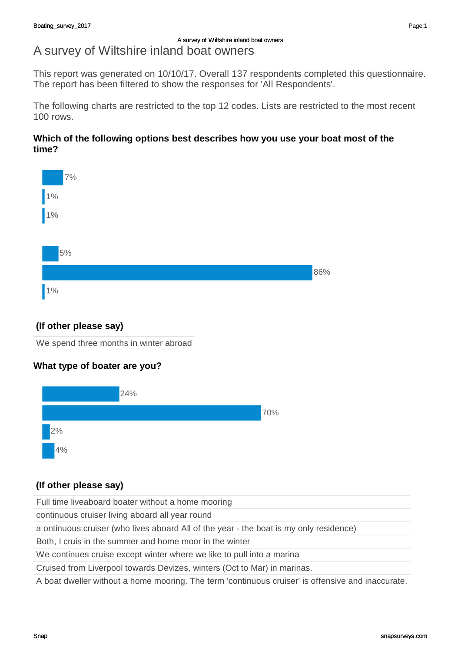# A survey of Wiltshire inland boat owners

This report was generated on 10/10/17. Overall 137 respondents completed this questionnaire. The report has been filtered to show the responses for 'All Respondents'.

The following charts are restricted to the top 12 codes. Lists are restricted to the most recent 100 rows.

## **Which of the following options best describes how you use your boat most of the time?**



# **(If other please say)**

We spend three months in winter abroad

# **What type of boater are you?**



# **(If other please say)**

Full time liveaboard boater without a home mooring

continuous cruiser living aboard all year round

a ontinuous cruiser (who lives aboard All of the year - the boat is my only residence)

Both, I cruis in the summer and home moor in the winter

We continues cruise except winter where we like to pull into a marina

Cruised from Liverpool towards Devizes, winters (Oct to Mar) in marinas.

A boat dweller without a home mooring. The term 'continuous cruiser' is offensive and inaccurate.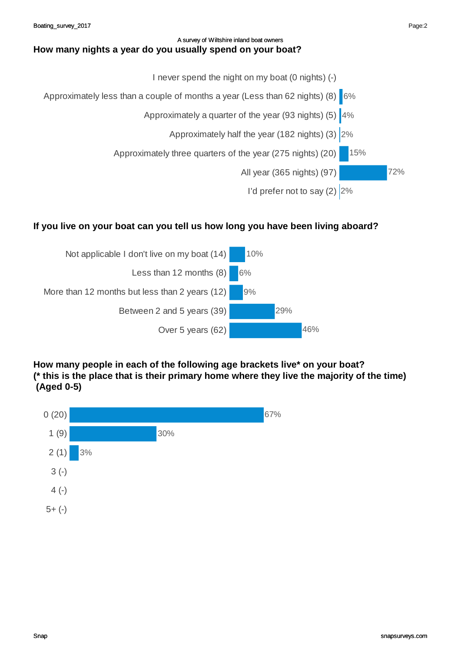#### A survey of Wiltshire inland boat owners **How many nights a year do you usually spend on your boat?**



# **If you live on your boat can you tell us how long you have been living aboard?**



**How many people in each of the following age brackets live\* on your boat? (\* this is the place that is their primary home where they live the majority of the time) (Aged 0-5)**

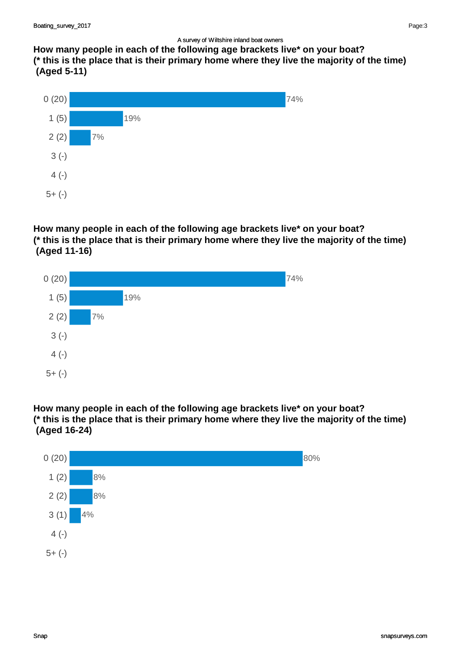**How many people in each of the following age brackets live\* on your boat? (\* this is the place that is their primary home where they live the majority of the time) (Aged 5-11)**



# **How many people in each of the following age brackets live\* on your boat? (\* this is the place that is their primary home where they live the majority of the time) (Aged 11-16)**



### **How many people in each of the following age brackets live\* on your boat? (\* this is the place that is their primary home where they live the majority of the time) (Aged 16-24)**

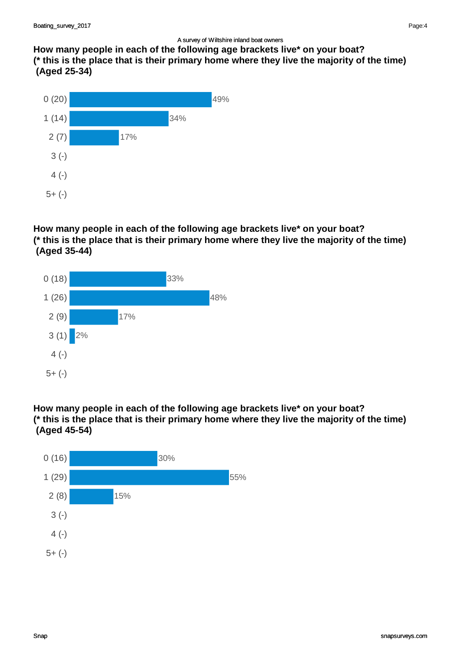**How many people in each of the following age brackets live\* on your boat? (\* this is the place that is their primary home where they live the majority of the time) (Aged 25-34)**



# **How many people in each of the following age brackets live\* on your boat? (\* this is the place that is their primary home where they live the majority of the time) (Aged 35-44)**



### **How many people in each of the following age brackets live\* on your boat? (\* this is the place that is their primary home where they live the majority of the time) (Aged 45-54)**

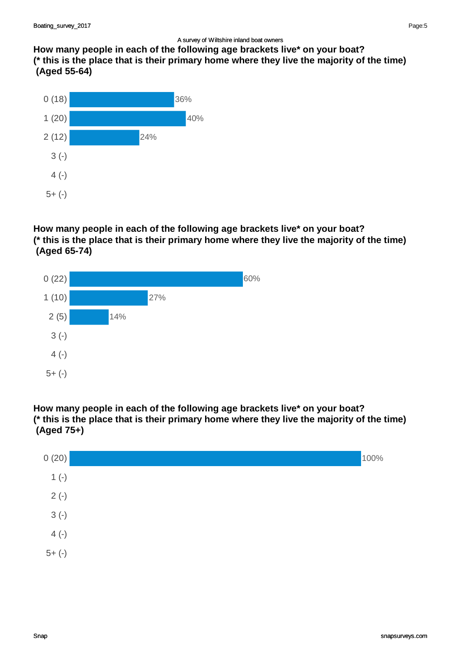**How many people in each of the following age brackets live\* on your boat? (\* this is the place that is their primary home where they live the majority of the time) (Aged 55-64)**



# **How many people in each of the following age brackets live\* on your boat? (\* this is the place that is their primary home where they live the majority of the time) (Aged 65-74)**



### **How many people in each of the following age brackets live\* on your boat? (\* this is the place that is their primary home where they live the majority of the time) (Aged 75+)**

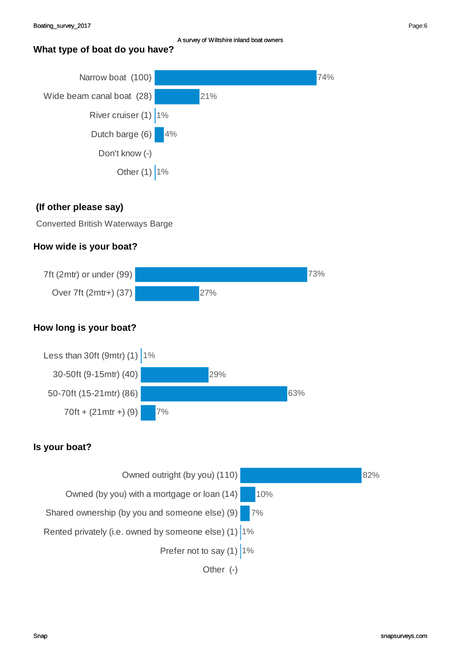## **What type of boat do you have?**



### **(If other please say)**

Converted British Waterways Barge

### **How wide is your boat?**



# **How long is your boat?**



# **Is your boat?**

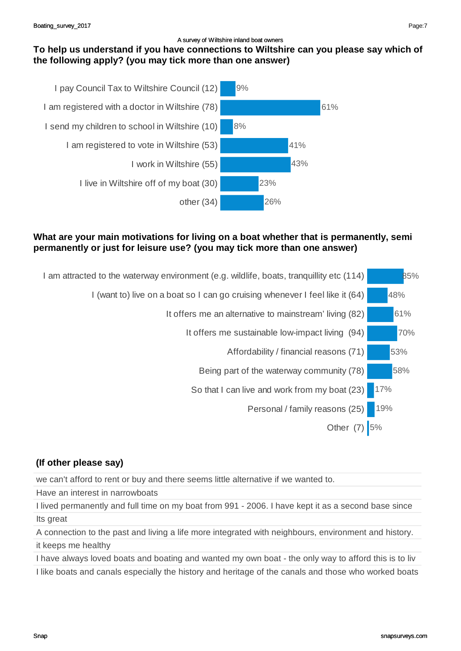# **To help us understand if you have connections to Wiltshire can you please say which of the following apply? (you may tick more than one answer)**



#### **What are your main motivations for living on a boat whether that is permanently, semi permanently or just for leisure use? (you may tick more than one answer)**



# **(If other please say)**

we can't afford to rent or buy and there seems little alternative if we wanted to.

Have an interest in narrowboats

I lived permanently and full time on my boat from 991 - 2006. I have kept it as a second base since Its great

A connection to the past and living a life more integrated with neighbours, environment and history. it keeps me healthy

I have always loved boats and boating and wanted my own boat - the only way to afford this is to liv I like boats and canals especially the history and heritage of the canals and those who worked boats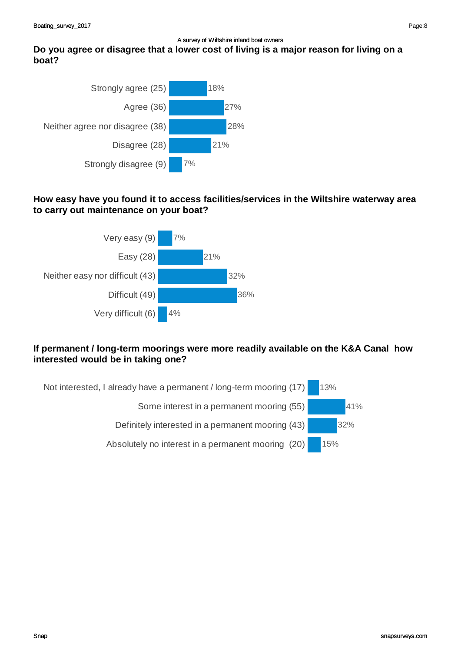# **Do you agree or disagree that a lower cost of living is a major reason for living on a boat?**



# **How easy have you found it to access facilities/services in the Wiltshire waterway area to carry out maintenance on your boat?**



# **If permanent / long-term moorings were more readily available on the K&A Canal how interested would be in taking one?**



Page:8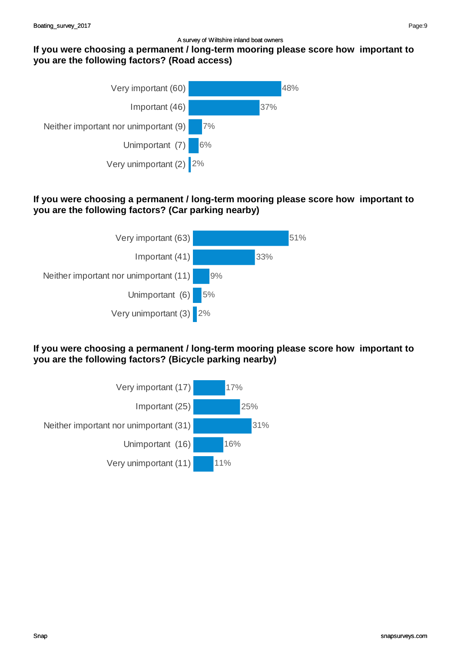### **If you were choosing a permanent / long-term mooring please score how important to you are the following factors? (Road access)**



## **If you were choosing a permanent / long-term mooring please score how important to you are the following factors? (Car parking nearby)**



**If you were choosing a permanent / long-term mooring please score how important to you are the following factors? (Bicycle parking nearby)**



Page:9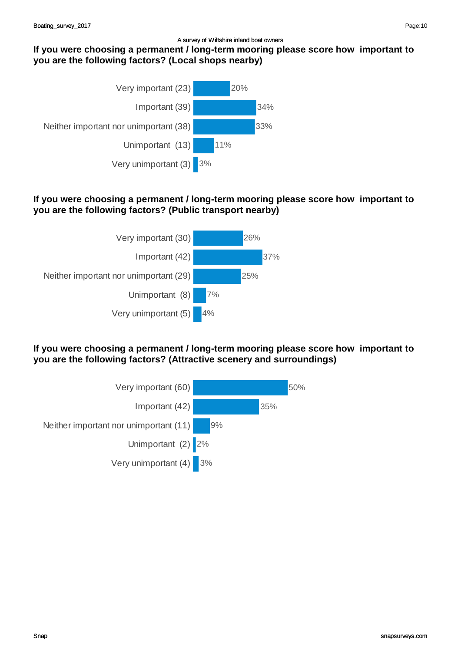### **If you were choosing a permanent / long-term mooring please score how important to you are the following factors? (Local shops nearby)**



## **If you were choosing a permanent / long-term mooring please score how important to you are the following factors? (Public transport nearby)**



**If you were choosing a permanent / long-term mooring please score how important to you are the following factors? (Attractive scenery and surroundings)**

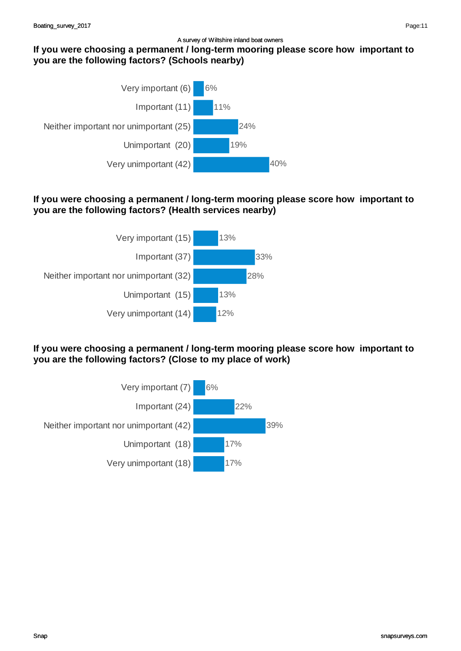### **If you were choosing a permanent / long-term mooring please score how important to you are the following factors? (Schools nearby)**



# **If you were choosing a permanent / long-term mooring please score how important to you are the following factors? (Health services nearby)**



**If you were choosing a permanent / long-term mooring please score how important to you are the following factors? (Close to my place of work)**

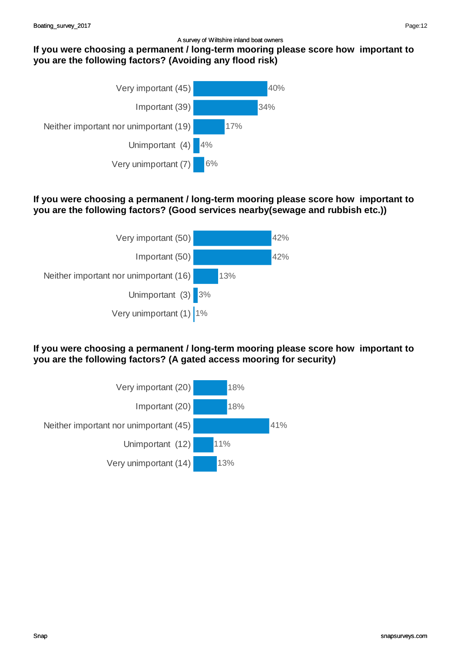# **If you were choosing a permanent / long-term mooring please score how important to you are the following factors? (Avoiding any flood risk)**



## **If you were choosing a permanent / long-term mooring please score how important to you are the following factors? (Good services nearby(sewage and rubbish etc.))**



**If you were choosing a permanent / long-term mooring please score how important to you are the following factors? (A gated access mooring for security)**

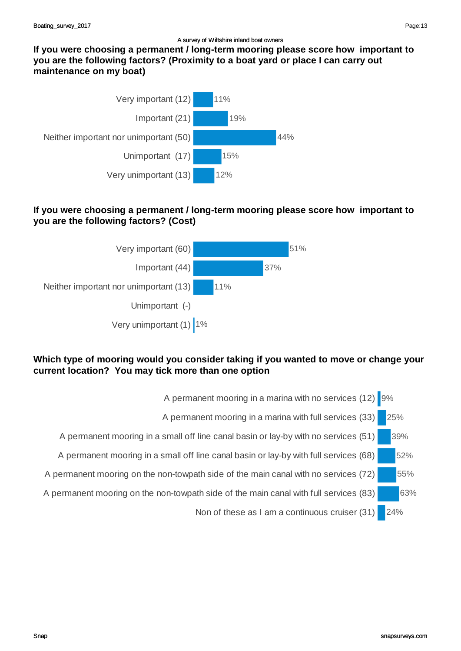**If you were choosing a permanent / long-term mooring please score how important to you are the following factors? (Proximity to a boat yard or place I can carry out maintenance on my boat)**



# **If you were choosing a permanent / long-term mooring please score how important to you are the following factors? (Cost)**



# **Which type of mooring would you consider taking if you wanted to move or change your current location? You may tick more than one option**

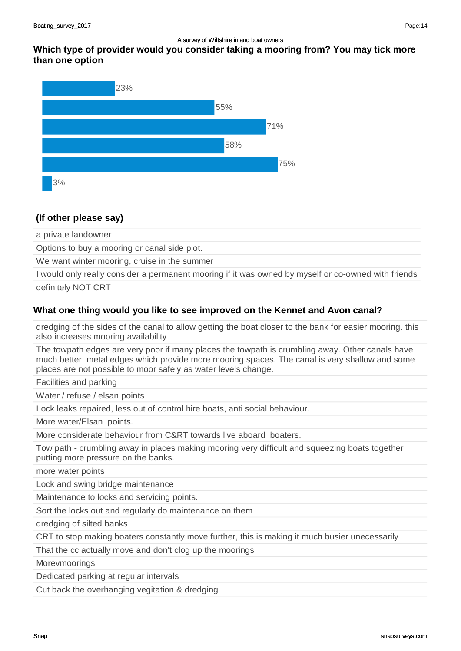

#### **(If other please say)**

a private landowner

Options to buy a mooring or canal side plot.

We want winter mooring, cruise in the summer

I would only really consider a permanent mooring if it was owned by myself or co-owned with friends definitely NOT CRT

#### **What one thing would you like to see improved on the Kennet and Avon canal?**

dredging of the sides of the canal to allow getting the boat closer to the bank for easier mooring. this also increases mooring availability

The towpath edges are very poor if many places the towpath is crumbling away. Other canals have much better, metal edges which provide more mooring spaces. The canal is very shallow and some places are not possible to moor safely as water levels change.

Facilities and parking

Water / refuse / elsan points

Lock leaks repaired, less out of control hire boats, anti social behaviour.

More water/Elsan points.

More considerate behaviour from C&RT towards live aboard boaters.

Tow path - crumbling away in places making mooring very difficult and squeezing boats together putting more pressure on the banks.

more water points

Lock and swing bridge maintenance

Maintenance to locks and servicing points.

Sort the locks out and regularly do maintenance on them

dredging of silted banks

CRT to stop making boaters constantly move further, this is making it much busier unecessarily

That the cc actually move and don't clog up the moorings

Morevmoorings

Dedicated parking at regular intervals

Cut back the overhanging vegitation & dredging

Page:14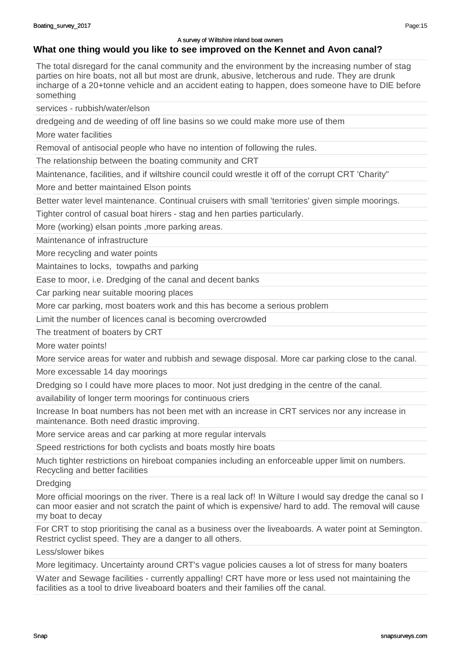#### **What one thing would you like to see improved on the Kennet and Avon canal?**

The total disregard for the canal community and the environment by the increasing number of stag parties on hire boats, not all but most are drunk, abusive, letcherous and rude. They are drunk incharge of a 20+tonne vehicle and an accident eating to happen, does someone have to DIE before something

services - rubbish/water/elson

dredgeing and de weeding of off line basins so we could make more use of them

More water facilities

Removal of antisocial people who have no intention of following the rules.

The relationship between the boating community and CRT

Maintenance, facilities, and if wiltshire council could wrestle it off of the corrupt CRT 'Charity"

More and better maintained Elson points

Better water level maintenance. Continual cruisers with small 'territories' given simple moorings.

Tighter control of casual boat hirers - stag and hen parties particularly.

More (working) elsan points ,more parking areas.

Maintenance of infrastructure

More recycling and water points

Maintaines to locks, towpaths and parking

Ease to moor, i.e. Dredging of the canal and decent banks

Car parking near suitable mooring places

More car parking, most boaters work and this has become a serious problem

Limit the number of licences canal is becoming overcrowded

The treatment of boaters by CRT

More water points!

More service areas for water and rubbish and sewage disposal. More car parking close to the canal.

More excessable 14 day moorings

Dredging so I could have more places to moor. Not just dredging in the centre of the canal.

availability of longer term moorings for continuous criers

Increase In boat numbers has not been met with an increase in CRT services nor any increase in maintenance. Both need drastic improving.

More service areas and car parking at more regular intervals

Speed restrictions for both cyclists and boats mostly hire boats

Much tighter restrictions on hireboat companies including an enforceable upper limit on numbers. Recycling and better facilities

**Dredging** 

More official moorings on the river. There is a real lack of! In Wilture I would say dredge the canal so I can moor easier and not scratch the paint of which is expensive/ hard to add. The removal will cause my boat to decay

For CRT to stop prioritising the canal as a business over the liveaboards. A water point at Semington. Restrict cyclist speed. They are a danger to all others.

Less/slower bikes

More legitimacy. Uncertainty around CRT's vague policies causes a lot of stress for many boaters

Water and Sewage facilities - currently appalling! CRT have more or less used not maintaining the facilities as a tool to drive liveaboard boaters and their families off the canal.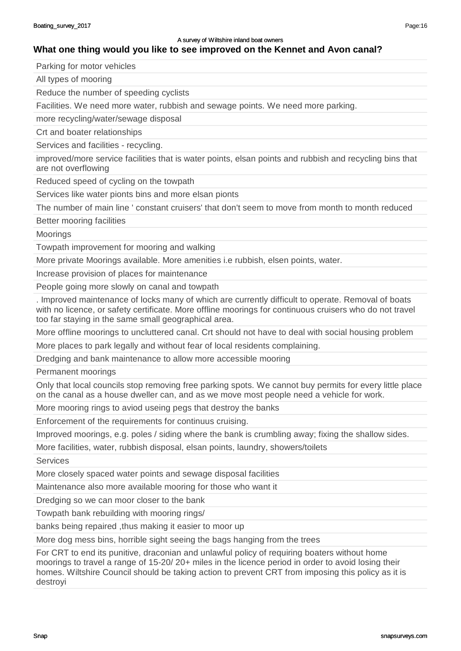# **What one thing would you like to see improved on the Kennet and Avon canal?**

Parking for motor vehicles

All types of mooring

Reduce the number of speeding cyclists

Facilities. We need more water, rubbish and sewage points. We need more parking.

more recycling/water/sewage disposal

Crt and boater relationships

Services and facilities - recycling.

improved/more service facilities that is water points, elsan points and rubbish and recycling bins that are not overflowing

Reduced speed of cycling on the towpath

Services like water pionts bins and more elsan pionts

The number of main line ' constant cruisers' that don't seem to move from month to month reduced

Better mooring facilities

**Moorings** 

Towpath improvement for mooring and walking

More private Moorings available. More amenities i.e rubbish, elsen points, water.

Increase provision of places for maintenance

People going more slowly on canal and towpath

. Improved maintenance of locks many of which are currently difficult to operate. Removal of boats with no licence, or safety certificate. More offline moorings for continuous cruisers who do not travel too far staying in the same small geographical area.

More offline moorings to uncluttered canal. Crt should not have to deal with social housing problem

More places to park legally and without fear of local residents complaining.

Dredging and bank maintenance to allow more accessible mooring

Permanent moorings

Only that local councils stop removing free parking spots. We cannot buy permits for every little place on the canal as a house dweller can, and as we move most people need a vehicle for work.

More mooring rings to aviod useing pegs that destroy the banks

Enforcement of the requirements for continuus cruising.

Improved moorings, e.g. poles / siding where the bank is crumbling away; fixing the shallow sides.

More facilities, water, rubbish disposal, elsan points, laundry, showers/toilets

**Services** 

More closely spaced water points and sewage disposal facilities

Maintenance also more available mooring for those who want it

Dredging so we can moor closer to the bank

Towpath bank rebuilding with mooring rings/

banks being repaired ,thus making it easier to moor up

More dog mess bins, horrible sight seeing the bags hanging from the trees

For CRT to end its punitive, draconian and unlawful policy of requiring boaters without home moorings to travel a range of 15-20/ 20+ miles in the licence period in order to avoid losing their homes. Wiltshire Council should be taking action to prevent CRT from imposing this policy as it is destroyi

Page:16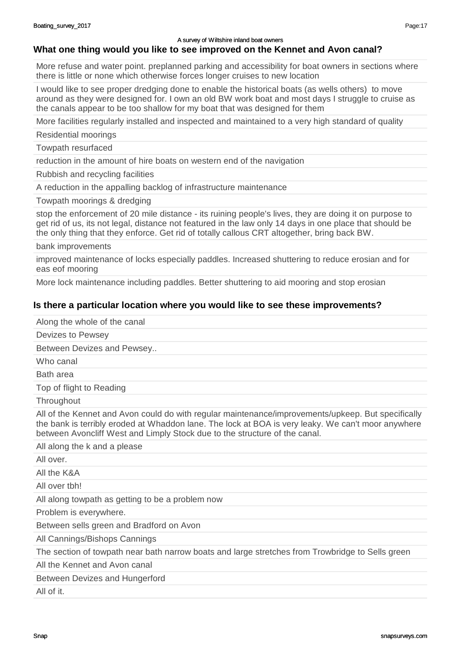#### **What one thing would you like to see improved on the Kennet and Avon canal?**

More refuse and water point. preplanned parking and accessibility for boat owners in sections where there is little or none which otherwise forces longer cruises to new location

I would like to see proper dredging done to enable the historical boats (as wells others) to move around as they were designed for. I own an old BW work boat and most days I struggle to cruise as the canals appear to be too shallow for my boat that was designed for them

More facilities regularly installed and inspected and maintained to a very high standard of quality

Residential moorings

Towpath resurfaced

reduction in the amount of hire boats on western end of the navigation

Rubbish and recycling facilities

A reduction in the appalling backlog of infrastructure maintenance

Towpath moorings & dredging

stop the enforcement of 20 mile distance - its ruining people's lives, they are doing it on purpose to get rid of us, its not legal, distance not featured in the law only 14 days in one place that should be the only thing that they enforce. Get rid of totally callous CRT altogether, bring back BW.

bank improvements

improved maintenance of locks especially paddles. Increased shuttering to reduce erosian and for eas eof mooring

More lock maintenance including paddles. Better shuttering to aid mooring and stop erosian

#### **Is there a particular location where you would like to see these improvements?**

Along the whole of the canal

Devizes to Pewsey

Between Devizes and Pewsey..

Who canal

Bath area

Top of flight to Reading

**Throughout** 

All of the Kennet and Avon could do with regular maintenance/improvements/upkeep. But specifically the bank is terribly eroded at Whaddon lane. The lock at BOA is very leaky. We can't moor anywhere between Avoncliff West and Limply Stock due to the structure of the canal.

All along the k and a please

All over.

All the K&A

All over tbh!

All along towpath as getting to be a problem now

Problem is everywhere.

Between sells green and Bradford on Avon

All Cannings/Bishops Cannings

The section of towpath near bath narrow boats and large stretches from Trowbridge to Sells green

All the Kennet and Avon canal

#### Between Devizes and Hungerford

All of it.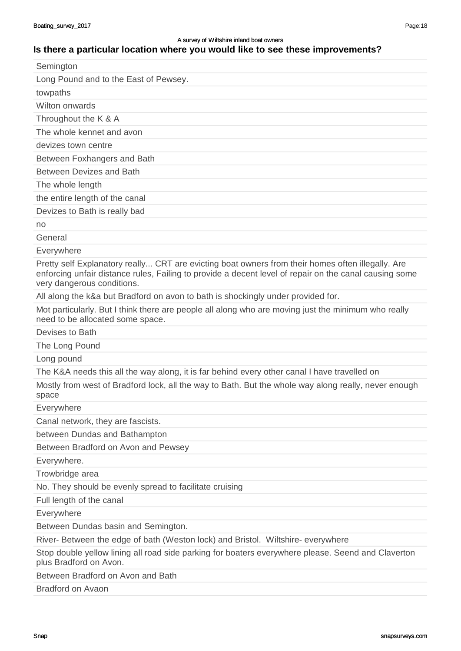#### **Is there a particular location where you would like to see these improvements?**

| Semington                             |
|---------------------------------------|
| Long Pound and to the East of Pewsey. |
| towpaths                              |
| Wilton onwards                        |
| Throughout the K & A                  |
| The whole kennet and avon             |
| devizes town centre                   |
| Between Foxhangers and Bath           |
| <b>Between Devizes and Bath</b>       |
| The whole length                      |
| the entire length of the canal        |
| Devizes to Bath is really bad         |
| no                                    |
|                                       |

General

Everywhere

Pretty self Explanatory really... CRT are evicting boat owners from their homes often illegally. Are enforcing unfair distance rules, Failing to provide a decent level of repair on the canal causing some very dangerous conditions.

All along the k&a but Bradford on avon to bath is shockingly under provided for.

Mot particularly. But I think there are people all along who are moving just the minimum who really need to be allocated some space.

Devises to Bath

The Long Pound

Long pound

The K&A needs this all the way along, it is far behind every other canal I have travelled on

Mostly from west of Bradford lock, all the way to Bath. But the whole way along really, never enough space

Everywhere

Canal network, they are fascists.

between Dundas and Bathampton

Between Bradford on Avon and Pewsey

Everywhere.

Trowbridge area

No. They should be evenly spread to facilitate cruising

Full length of the canal

Everywhere

Between Dundas basin and Semington.

River- Between the edge of bath (Weston lock) and Bristol. Wiltshire- everywhere

Stop double yellow lining all road side parking for boaters everywhere please. Seend and Claverton plus Bradford on Avon.

Between Bradford on Avon and Bath

Bradford on Avaon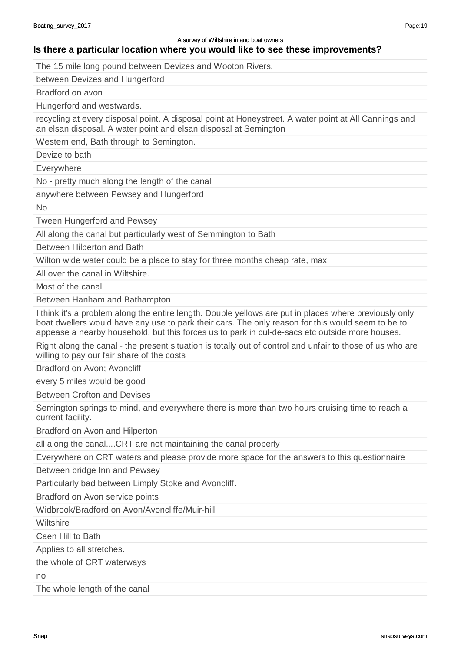**Is there a particular location where you would like to see these improvements?**

The 15 mile long pound between Devizes and Wooton Rivers.

between Devizes and Hungerford

Bradford on avon

Hungerford and westwards.

recycling at every disposal point. A disposal point at Honeystreet. A water point at All Cannings and an elsan disposal. A water point and elsan disposal at Semington

Western end, Bath through to Semington.

Devize to bath

**Everywhere** 

No - pretty much along the length of the canal

anywhere between Pewsey and Hungerford

 $N<sub>0</sub>$ 

Tween Hungerford and Pewsey

All along the canal but particularly west of Semmington to Bath

Between Hilperton and Bath

Wilton wide water could be a place to stay for three months cheap rate, max.

All over the canal in Wiltshire.

Most of the canal

Between Hanham and Bathampton

I think it's a problem along the entire length. Double yellows are put in places where previously only boat dwellers would have any use to park their cars. The only reason for this would seem to be to appease a nearby household, but this forces us to park in cul-de-sacs etc outside more houses.

Right along the canal - the present situation is totally out of control and unfair to those of us who are willing to pay our fair share of the costs

Bradford on Avon; Avoncliff

every 5 miles would be good

Between Crofton and Devises

Semington springs to mind, and everywhere there is more than two hours cruising time to reach a current facility.

Bradford on Avon and Hilperton

all along the canal....CRT are not maintaining the canal properly

Everywhere on CRT waters and please provide more space for the answers to this questionnaire

Between bridge Inn and Pewsey

Particularly bad between Limply Stoke and Avoncliff.

Bradford on Avon service points

Widbrook/Bradford on Avon/Avoncliffe/Muir-hill

**Wiltshire** 

Caen Hill to Bath

Applies to all stretches.

the whole of CRT waterways

no

The whole length of the canal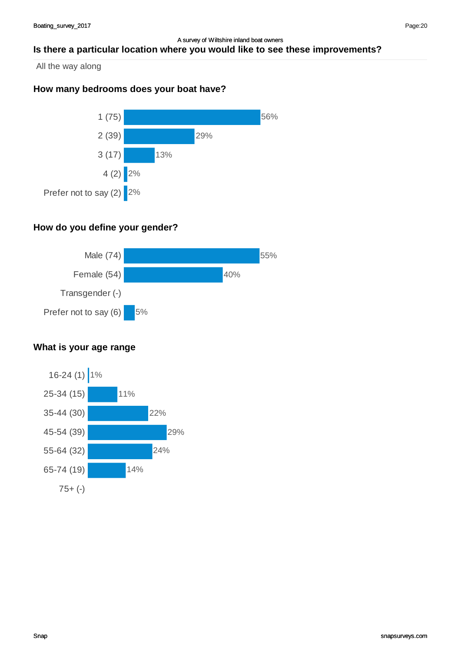#### A survey of Wiltshire inland boat owners **Is there a particular location where you would like to see these improvements?**

All the way along

# **How many bedrooms does your boat have?**



# **How do you define your gender?**



# **What is your age range**

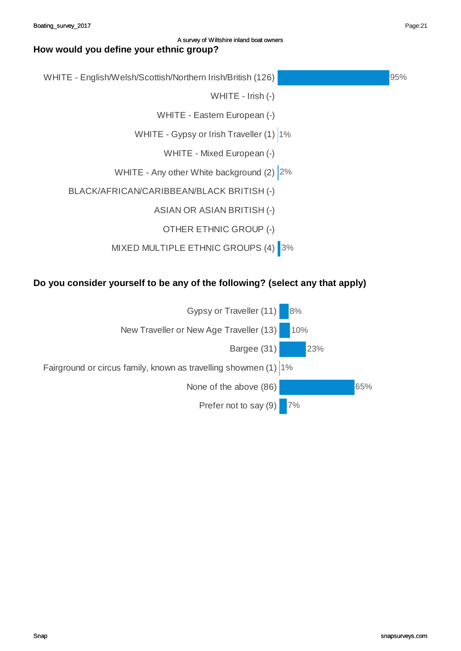# WHITE - English/Welsh/Scottish/Northern Irish/British (126) WHITE - Irish (-) WHITE - Eastern European (-) WHITE - Gypsy or Irish Traveller (1) 1% WHITE - Mixed European (-) WHITE - Any other White background (2) 2% BLACK/AFRICAN/CARIBBEAN/BLACK BRITISH (-) ASIAN OR ASIAN BRITISH (-) OTHER ETHNIC GROUP (-) MIXED MULTIPLE ETHNIC GROUPS (4) 3% 95%

# **Do you consider yourself to be any of the following? (select any that apply)**



Page:21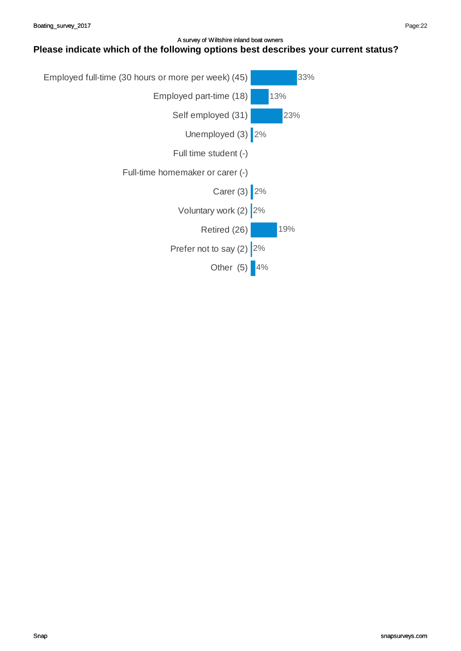#### A survey of Wiltshire inland boat owners **Please indicate which of the following options best describes your current status?**

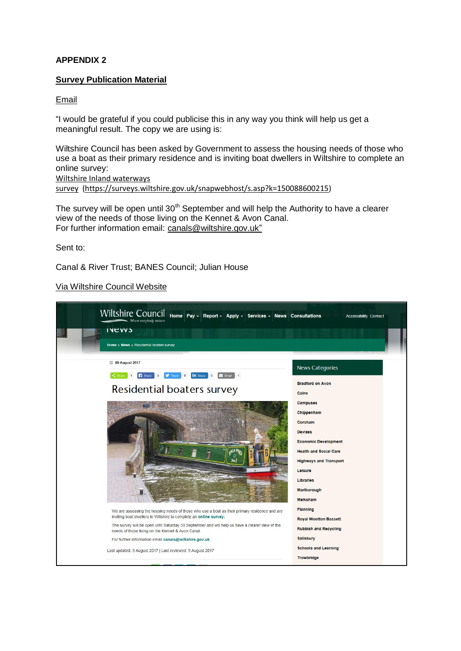#### **APPENDIX 2**

#### **Survey Publication Material**

#### Email

"I would be grateful if you could publicise this in any way you think will help us get a meaningful result. The copy we are using is:

Wiltshire Council has been asked by Government to assess the housing needs of those who use a boat as their primary residence and is inviting boat dwellers in Wiltshire to complete an online survey: [Wiltshire Inland waterways](https://surveys.wiltshire.gov.uk/snapwebhost/s.asp?k=150088600215) 

[survey](https://surveys.wiltshire.gov.uk/snapwebhost/s.asp?k=150088600215) [\(https://surveys.wiltshire.gov.uk/snapwebhost/s.asp?k=150088600215\)](https://surveys.wiltshire.gov.uk/snapwebhost/s.asp?k=150088600215)

The survey will be open until 30<sup>th</sup> September and will help the Authority to have a clearer view of the needs of those living on the Kennet & Avon Canal. For further information email: [canals@wiltshire.gov.uk"](mailto:canals@wiltshire.gov.uk)

#### Sent to:

Canal & River Trust; BANES Council; Julian House

Via Wiltshire Council Website